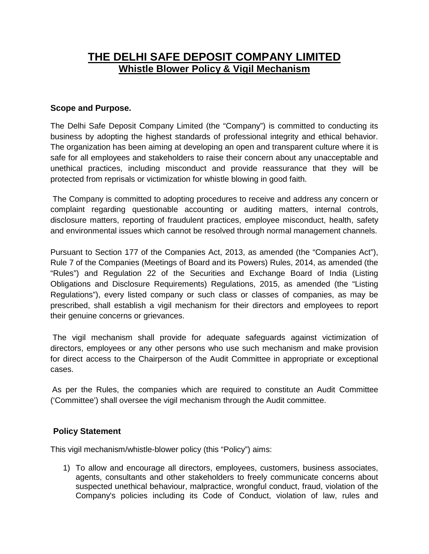# **THE DELHI SAFE DEPOSIT COMPANY LIMITED Whistle Blower Policy & Vigil Mechanism**

## **Scope and Purpose.**

The Delhi Safe Deposit Company Limited (the "Company") is committed to conducting its business by adopting the highest standards of professional integrity and ethical behavior. The organization has been aiming at developing an open and transparent culture where it is safe for all employees and stakeholders to raise their concern about any unacceptable and unethical practices, including misconduct and provide reassurance that they will be protected from reprisals or victimization for whistle blowing in good faith.

The Company is committed to adopting procedures to receive and address any concern or complaint regarding questionable accounting or auditing matters, internal controls, disclosure matters, reporting of fraudulent practices, employee misconduct, health, safety and environmental issues which cannot be resolved through normal management channels.

Pursuant to Section 177 of the Companies Act, 2013, as amended (the "Companies Act"), Rule 7 of the Companies (Meetings of Board and its Powers) Rules, 2014, as amended (the "Rules") and Regulation 22 of the Securities and Exchange Board of India (Listing Obligations and Disclosure Requirements) Regulations, 2015, as amended (the "Listing Regulations"), every listed company or such class or classes of companies, as may be prescribed, shall establish a vigil mechanism for their directors and employees to report their genuine concerns or grievances.

The vigil mechanism shall provide for adequate safeguards against victimization of directors, employees or any other persons who use such mechanism and make provision for direct access to the Chairperson of the Audit Committee in appropriate or exceptional cases.

As per the Rules, the companies which are required to constitute an Audit Committee ('Committee') shall oversee the vigil mechanism through the Audit committee.

## **Policy Statement**

This vigil mechanism/whistle-blower policy (this "Policy") aims:

1) To allow and encourage all directors, employees, customers, business associates, agents, consultants and other stakeholders to freely communicate concerns about suspected unethical behaviour, malpractice, wrongful conduct, fraud, violation of the Company's policies including its Code of Conduct, violation of law, rules and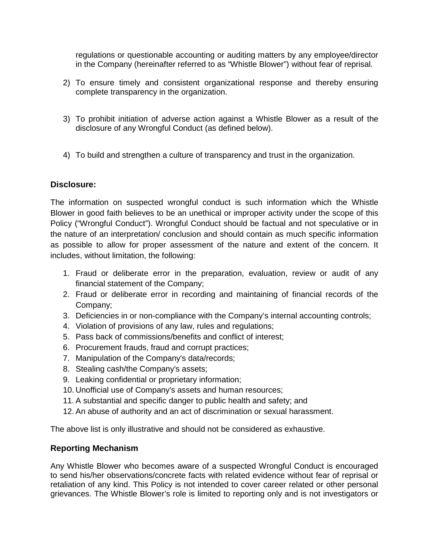regulations or questionable accounting or auditing matters by any employee/director in the Company (hereinafter referred to as "Whistle Blower") without fear of reprisal.

- 2) To ensure timely and consistent organizational response and thereby ensuring complete transparency in the organization.
- 3) To prohibit initiation of adverse action against a Whistle Blower as a result of the disclosure of any Wrongful Conduct (as defined below).
- 4) To build and strengthen a culture of transparency and trust in the organization.

## **Disclosure:**

The information on suspected wrongful conduct is such information which the Whistle Blower in good faith believes to be an unethical or improper activity under the scope of this Policy ("Wrongful Conduct"). Wrongful Conduct should be factual and not speculative or in the nature of an interpretation/ conclusion and should contain as much specific information as possible to allow for proper assessment of the nature and extent of the concern. It includes, without limitation, the following:

- 1. Fraud or deliberate error in the preparation, evaluation, review or audit of any financial statement of the Company;
- 2. Fraud or deliberate error in recording and maintaining of financial records of the Company;
- 3. Deficiencies in or non-compliance with the Company's internal accounting controls;
- 4. Violation of provisions of any law, rules and regulations;
- 5. Pass back of commissions/benefits and conflict of interest;
- 6. Procurement frauds, fraud and corrupt practices;
- 7. Manipulation of the Company's data/records;
- 8. Stealing cash/the Company's assets;
- 9. Leaking confidential or proprietary information;
- 10. Unofficial use of Company's assets and human resources;
- 11. A substantial and specific danger to public health and safety; and
- 12. An abuse of authority and an act of discrimination or sexual harassment.

The above list is only illustrative and should not be considered as exhaustive.

## **Reporting Mechanism**

Any Whistle Blower who becomes aware of a suspected Wrongful Conduct is encouraged to send his/her observations/concrete facts with related evidence without fear of reprisal or retaliation of any kind. This Policy is not intended to cover career related or other personal grievances. The Whistle Blower's role is limited to reporting only and is not investigators or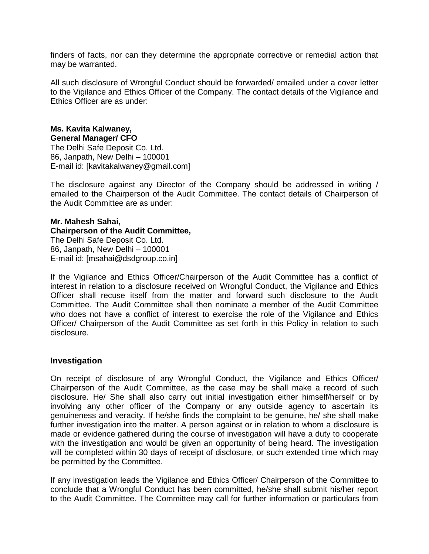finders of facts, nor can they determine the appropriate corrective or remedial action that may be warranted.

All such disclosure of Wrongful Conduct should be forwarded/ emailed under a cover letter to the Vigilance and Ethics Officer of the Company. The contact details of the Vigilance and Ethics Officer are as under:

#### **Ms. Kavita Kalwaney, General Manager/ CFO**

The Delhi Safe Deposit Co. Ltd. 86, Janpath, New Delhi – 100001 E-mail id: [kavitakalwaney@gmail.com]

The disclosure against any Director of the Company should be addressed in writing / emailed to the Chairperson of the Audit Committee. The contact details of Chairperson of the Audit Committee are as under:

#### **Mr. Mahesh Sahai, Chairperson of the Audit Committee,**  The Delhi Safe Deposit Co. Ltd. 86, Janpath, New Delhi – 100001 E-mail id: [msahai@dsdgroup.co.in]

If the Vigilance and Ethics Officer/Chairperson of the Audit Committee has a conflict of interest in relation to a disclosure received on Wrongful Conduct, the Vigilance and Ethics Officer shall recuse itself from the matter and forward such disclosure to the Audit Committee. The Audit Committee shall then nominate a member of the Audit Committee who does not have a conflict of interest to exercise the role of the Vigilance and Ethics Officer/ Chairperson of the Audit Committee as set forth in this Policy in relation to such disclosure.

## **Investigation**

On receipt of disclosure of any Wrongful Conduct, the Vigilance and Ethics Officer/ Chairperson of the Audit Committee, as the case may be shall make a record of such disclosure. He/ She shall also carry out initial investigation either himself/herself or by involving any other officer of the Company or any outside agency to ascertain its genuineness and veracity. If he/she finds the complaint to be genuine, he/ she shall make further investigation into the matter. A person against or in relation to whom a disclosure is made or evidence gathered during the course of investigation will have a duty to cooperate with the investigation and would be given an opportunity of being heard. The investigation will be completed within 30 days of receipt of disclosure, or such extended time which may be permitted by the Committee.

If any investigation leads the Vigilance and Ethics Officer/ Chairperson of the Committee to conclude that a Wrongful Conduct has been committed, he/she shall submit his/her report to the Audit Committee. The Committee may call for further information or particulars from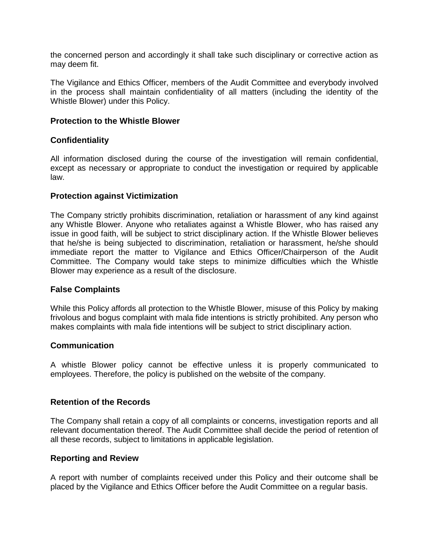the concerned person and accordingly it shall take such disciplinary or corrective action as may deem fit.

The Vigilance and Ethics Officer, members of the Audit Committee and everybody involved in the process shall maintain confidentiality of all matters (including the identity of the Whistle Blower) under this Policy.

## **Protection to the Whistle Blower**

## **Confidentiality**

All information disclosed during the course of the investigation will remain confidential, except as necessary or appropriate to conduct the investigation or required by applicable law.

## **Protection against Victimization**

The Company strictly prohibits discrimination, retaliation or harassment of any kind against any Whistle Blower. Anyone who retaliates against a Whistle Blower, who has raised any issue in good faith, will be subject to strict disciplinary action. If the Whistle Blower believes that he/she is being subjected to discrimination, retaliation or harassment, he/she should immediate report the matter to Vigilance and Ethics Officer/Chairperson of the Audit Committee. The Company would take steps to minimize difficulties which the Whistle Blower may experience as a result of the disclosure.

## **False Complaints**

While this Policy affords all protection to the Whistle Blower, misuse of this Policy by making frivolous and bogus complaint with mala fide intentions is strictly prohibited. Any person who makes complaints with mala fide intentions will be subject to strict disciplinary action.

## **Communication**

A whistle Blower policy cannot be effective unless it is properly communicated to employees. Therefore, the policy is published on the website of the company.

## **Retention of the Records**

The Company shall retain a copy of all complaints or concerns, investigation reports and all relevant documentation thereof. The Audit Committee shall decide the period of retention of all these records, subject to limitations in applicable legislation.

## **Reporting and Review**

A report with number of complaints received under this Policy and their outcome shall be placed by the Vigilance and Ethics Officer before the Audit Committee on a regular basis.